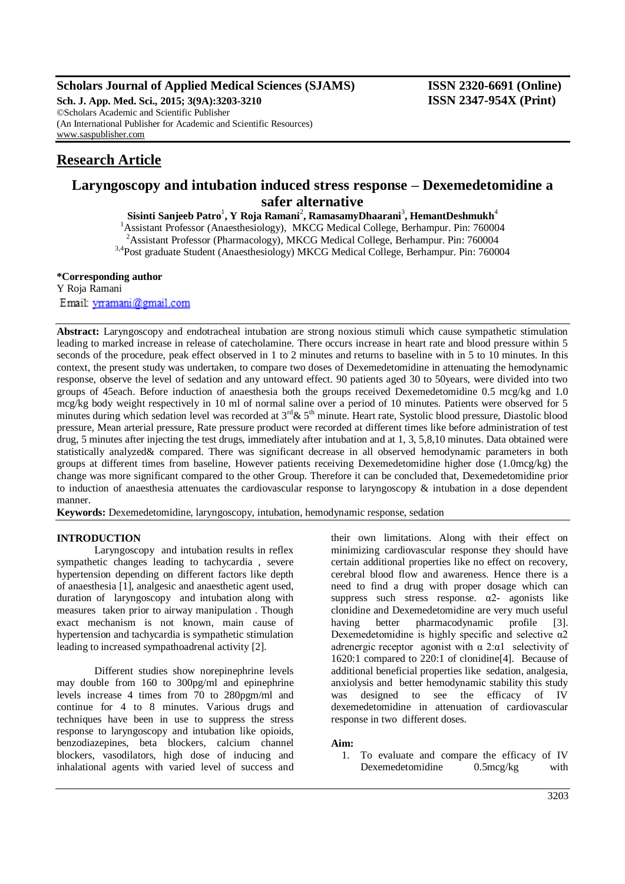# **Scholars Journal of Applied Medical Sciences (SJAMS) ISSN 2320-6691 (Online)**

**Sch. J. App. Med. Sci., 2015; 3(9A):3203-3210 ISSN 2347-954X (Print)** ©Scholars Academic and Scientific Publisher (An International Publisher for Academic and Scientific Resources) [www.saspublisher.com](http://www.saspublisher.com/)

# **Research Article**

# **Laryngoscopy and intubation induced stress response – Dexemedetomidine a safer alternative**

 $\mathbf{S}$ isinti Sanjeeb Patro $^1$ , Y Roja Ramani $^2$ , RamasamyDhaarani $^3$ , HemantDeshmukh $^4$ <sup>1</sup>Assistant Professor (Anaesthesiology), MKCG Medical College, Berhampur. Pin: 760004

<sup>2</sup> Assistant Professor (Pharmacology), MKCG Medical College, Berhampur. Pin: 760004

3,4Post graduate Student (Anaesthesiology) MKCG Medical College, Berhampur. Pin: 760004

**\*Corresponding author** Y Roja Ramani Email: yrramani@gmail.com

**Abstract:** Laryngoscopy and endotracheal intubation are strong noxious stimuli which cause sympathetic stimulation leading to marked increase in release of catecholamine. There occurs increase in heart rate and blood pressure within 5 seconds of the procedure, peak effect observed in 1 to 2 minutes and returns to baseline with in 5 to 10 minutes. In this context, the present study was undertaken, to compare two doses of Dexemedetomidine in attenuating the hemodynamic response, observe the level of sedation and any untoward effect. 90 patients aged 30 to 50years, were divided into two groups of 45each. Before induction of anaesthesia both the groups received Dexemedetomidine 0.5 mcg/kg and 1.0 mcg/kg body weight respectively in 10 ml of normal saline over a period of 10 minutes. Patients were observed for 5 minutes during which sedation level was recorded at 3<sup>rd</sup> & 5<sup>th</sup> minute. Heart rate, Systolic blood pressure, Diastolic blood pressure, Mean arterial pressure, Rate pressure product were recorded at different times like before administration of test drug, 5 minutes after injecting the test drugs, immediately after intubation and at 1, 3, 5,8,10 minutes. Data obtained were statistically analyzed& compared. There was significant decrease in all observed hemodynamic parameters in both groups at different times from baseline, However patients receiving Dexemedetomidine higher dose (1.0mcg/kg) the change was more significant compared to the other Group. Therefore it can be concluded that, Dexemedetomidine prior to induction of anaesthesia attenuates the cardiovascular response to laryngoscopy & intubation in a dose dependent manner.

**Keywords:** Dexemedetomidine, laryngoscopy, intubation, hemodynamic response, sedation

# **INTRODUCTION**

Laryngoscopy and intubation results in reflex sympathetic changes leading to tachycardia , severe hypertension depending on different factors like depth of anaesthesia [1], analgesic and anaesthetic agent used, duration of laryngoscopy and intubation along with measures taken prior to airway manipulation . Though exact mechanism is not known, main cause of hypertension and tachycardia is sympathetic stimulation leading to increased sympathoadrenal activity [2].

Different studies show norepinephrine levels may double from 160 to 300pg/ml and epinephrine levels increase 4 times from 70 to 280pgm/ml and continue for 4 to 8 minutes. Various drugs and techniques have been in use to suppress the stress response to laryngoscopy and intubation like opioids, benzodiazepines, beta blockers, calcium channel blockers, vasodilators, high dose of inducing and inhalational agents with varied level of success and

their own limitations. Along with their effect on minimizing cardiovascular response they should have certain additional properties like no effect on recovery, cerebral blood flow and awareness. Hence there is a need to find a drug with proper dosage which can suppress such stress response.  $\alpha$ 2- agonists like clonidine and Dexemedetomidine are very much useful having better pharmacodynamic profile [3]. Dexemedetomidine is highly specific and selective  $\alpha$ 2 adrenergic receptor agonist with  $\alpha$  2: $\alpha$ 1 selectivity of 1620:1 compared to 220:1 of clonidine[4]. Because of additional beneficial properties like sedation, analgesia, anxiolysis and better hemodynamic stability this study was designed to see the efficacy of IV dexemedetomidine in attenuation of cardiovascular response in two different doses.

### **Aim:**

1. To evaluate and compare the efficacy of IV Dexemedetomidine 0.5mcg/kg with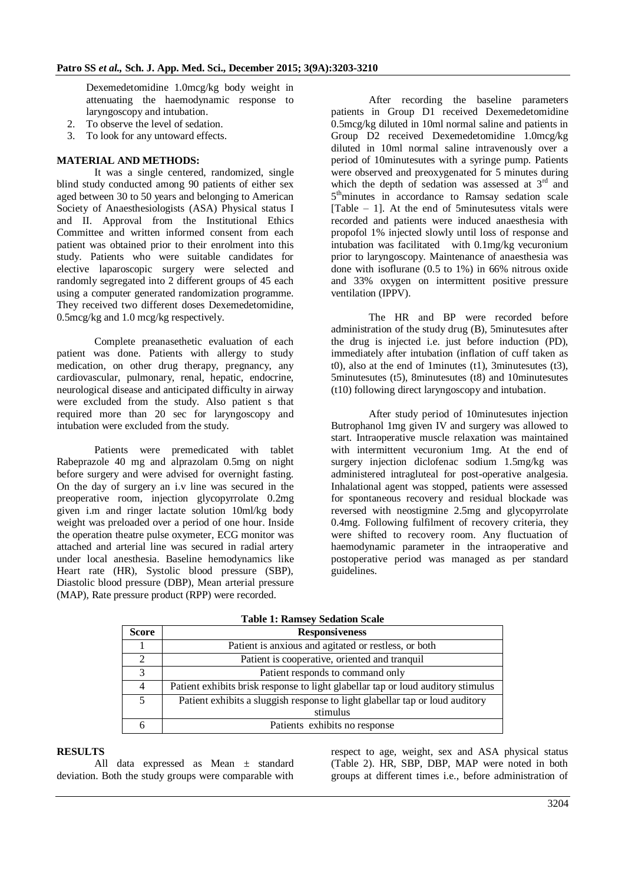Dexemedetomidine 1.0mcg/kg body weight in attenuating the haemodynamic response to laryngoscopy and intubation.

- 2. To observe the level of sedation.
- 3. To look for any untoward effects.

#### **MATERIAL AND METHODS:**

It was a single centered, randomized, single blind study conducted among 90 patients of either sex aged between 30 to 50 years and belonging to American Society of Anaesthesiologists (ASA) Physical status I and II. Approval from the Institutional Ethics Committee and written informed consent from each patient was obtained prior to their enrolment into this study. Patients who were suitable candidates for elective laparoscopic surgery were selected and randomly segregated into 2 different groups of 45 each using a computer generated randomization programme. They received two different doses Dexemedetomidine, 0.5mcg/kg and 1.0 mcg/kg respectively.

Complete preanasethetic evaluation of each patient was done. Patients with allergy to study medication, on other drug therapy, pregnancy, any cardiovascular, pulmonary, renal, hepatic, endocrine, neurological disease and anticipated difficulty in airway were excluded from the study. Also patient s that required more than 20 sec for laryngoscopy and intubation were excluded from the study.

Patients were premedicated with tablet Rabeprazole 40 mg and alprazolam 0.5mg on night before surgery and were advised for overnight fasting. On the day of surgery an i.v line was secured in the preoperative room, injection glycopyrrolate 0.2mg given i.m and ringer lactate solution 10ml/kg body weight was preloaded over a period of one hour. Inside the operation theatre pulse oxymeter, ECG monitor was attached and arterial line was secured in radial artery under local anesthesia. Baseline hemodynamics like Heart rate (HR), Systolic blood pressure (SBP), Diastolic blood pressure (DBP), Mean arterial pressure (MAP), Rate pressure product (RPP) were recorded.

After recording the baseline parameters patients in Group D1 received Dexemedetomidine 0.5mcg/kg diluted in 10ml normal saline and patients in Group D2 received Dexemedetomidine 1.0mcg/kg diluted in 10ml normal saline intravenously over a period of 10minutesutes with a syringe pump. Patients were observed and preoxygenated for 5 minutes during which the depth of sedation was assessed at  $3<sup>rd</sup>$  and 5<sup>th</sup>minutes in accordance to Ramsay sedation scale  $[Table - 1]$ . At the end of 5minutesutess vitals were recorded and patients were induced anaesthesia with propofol 1% injected slowly until loss of response and intubation was facilitated with 0.1mg/kg vecuronium prior to laryngoscopy. Maintenance of anaesthesia was done with isoflurane (0.5 to 1%) in 66% nitrous oxide and 33% oxygen on intermittent positive pressure ventilation (IPPV).

The HR and BP were recorded before administration of the study drug (B), 5minutesutes after the drug is injected i.e. just before induction (PD), immediately after intubation (inflation of cuff taken as t0), also at the end of 1minutes  $(t1)$ , 3minutesutes  $(t3)$ , 5minutesutes (t5), 8minutesutes (t8) and 10minutesutes (t10) following direct laryngoscopy and intubation.

After study period of 10minutesutes injection Butrophanol 1mg given IV and surgery was allowed to start. Intraoperative muscle relaxation was maintained with intermittent vecuronium 1mg. At the end of surgery injection diclofenac sodium 1.5mg/kg was administered intragluteal for post-operative analgesia. Inhalational agent was stopped, patients were assessed for spontaneous recovery and residual blockade was reversed with neostigmine 2.5mg and glycopyrrolate 0.4mg. Following fulfilment of recovery criteria, they were shifted to recovery room. Any fluctuation of haemodynamic parameter in the intraoperative and postoperative period was managed as per standard guidelines.

| Table 1. Ramsey Seuation Scale |                                                                                  |  |  |
|--------------------------------|----------------------------------------------------------------------------------|--|--|
| <b>Score</b>                   | <b>Responsiveness</b>                                                            |  |  |
|                                | Patient is anxious and agitated or restless, or both                             |  |  |
| 2                              | Patient is cooperative, oriented and tranquil                                    |  |  |
| 3                              | Patient responds to command only                                                 |  |  |
| 4                              | Patient exhibits brisk response to light glabellar tap or loud auditory stimulus |  |  |
| 5                              | Patient exhibits a sluggish response to light glabellar tap or loud auditory     |  |  |
|                                | stimulus                                                                         |  |  |
| 6                              | Patients exhibits no response                                                    |  |  |

## **Table 1: Ramsey Sedation Scale**

#### **RESULTS**

All data expressed as Mean ± standard deviation. Both the study groups were comparable with

respect to age, weight, sex and ASA physical status (Table 2). HR, SBP, DBP, MAP were noted in both groups at different times i.e., before administration of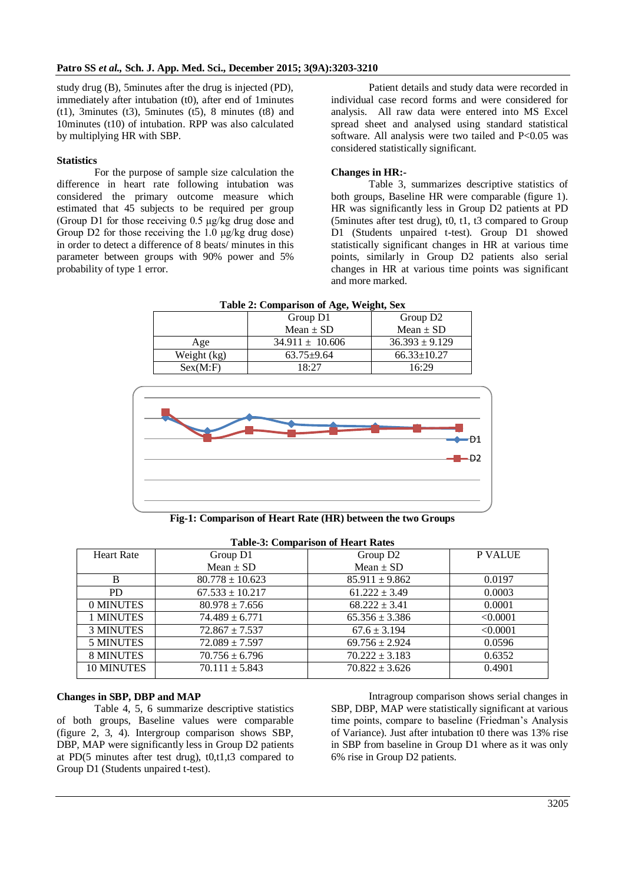study drug (B), 5minutes after the drug is injected (PD), immediately after intubation (t0), after end of 1minutes  $(t1)$ , 3minutes  $(t3)$ , 5minutes  $(t5)$ , 8 minutes  $(t8)$  and 10minutes (t10) of intubation. RPP was also calculated by multiplying HR with SBP.

#### **Statistics**

For the purpose of sample size calculation the difference in heart rate following intubation was considered the primary outcome measure which estimated that 45 subjects to be required per group (Group D1 for those receiving 0.5 μg/kg drug dose and Group D2 for those receiving the 1.0 μg/kg drug dose) in order to detect a difference of 8 beats/ minutes in this parameter between groups with 90% power and 5% probability of type 1 error.

Patient details and study data were recorded in individual case record forms and were considered for analysis. All raw data were entered into MS Excel spread sheet and analysed using standard statistical software. All analysis were two tailed and P<0.05 was considered statistically significant.

#### **Changes in HR:-**

Table 3, summarizes descriptive statistics of both groups, Baseline HR were comparable (figure 1). HR was significantly less in Group D2 patients at PD (5minutes after test drug), t0, t1, t3 compared to Group D1 (Students unpaired t-test). Group D1 showed statistically significant changes in HR at various time points, similarly in Group D2 patients also serial changes in HR at various time points was significant and more marked.

**Table 2: Comparison of Age, Weight, Sex**

| $\mathbf{\sigma}$<br>- |                     |                      |
|------------------------|---------------------|----------------------|
|                        | Group D1            | Group D <sub>2</sub> |
|                        | Mean $\pm$ SD       | Mean $\pm$ SD        |
| Age                    | $34.911 \pm 10.606$ | $36.393 \pm 9.129$   |
| Weight (kg)            | $63.75 \pm 9.64$    | $66.33 \pm 10.27$    |
| Sex(M: F)              | 18.27               | 16:29                |



**Fig-1: Comparison of Heart Rate (HR) between the two Groups**

| <b>Heart Rate</b> | Group D1            | Group D <sub>2</sub> | <b>P VALUE</b> |
|-------------------|---------------------|----------------------|----------------|
|                   | Mean $\pm$ SD       | Mean $\pm$ SD        |                |
| B                 | $80.778 \pm 10.623$ | $85.911 \pm 9.862$   | 0.0197         |
| PD.               | $67.533 \pm 10.217$ | $61.222 \pm 3.49$    | 0.0003         |
| 0 MINUTES         | $80.978 \pm 7.656$  | $68.222 \pm 3.41$    | 0.0001         |
| 1 MINUTES         | $74.489 \pm 6.771$  | $65.356 \pm 3.386$   | < 0.0001       |
| <b>3 MINUTES</b>  | $72.867 \pm 7.537$  | $67.6 \pm 3.194$     | < 0.0001       |
| <b>5 MINUTES</b>  | $72.089 \pm 7.597$  | $69.756 \pm 2.924$   | 0.0596         |
| <b>8 MINUTES</b>  | $70.756 \pm 6.796$  | $70.222 \pm 3.183$   | 0.6352         |
| 10 MINUTES        | $70.111 \pm 5.843$  | $70.822 \pm 3.626$   | 0.4901         |
|                   |                     |                      |                |

#### **Table-3: Comparison of Heart Rates**

### **Changes in SBP, DBP and MAP**

Table 4, 5, 6 summarize descriptive statistics of both groups, Baseline values were comparable (figure 2, 3, 4). Intergroup comparison shows SBP, DBP, MAP were significantly less in Group D2 patients at PD(5 minutes after test drug), t0,t1,t3 compared to Group D1 (Students unpaired t-test).

Intragroup comparison shows serial changes in SBP, DBP, MAP were statistically significant at various time points, compare to baseline (Friedman's Analysis of Variance). Just after intubation t0 there was 13% rise in SBP from baseline in Group D1 where as it was only 6% rise in Group D2 patients.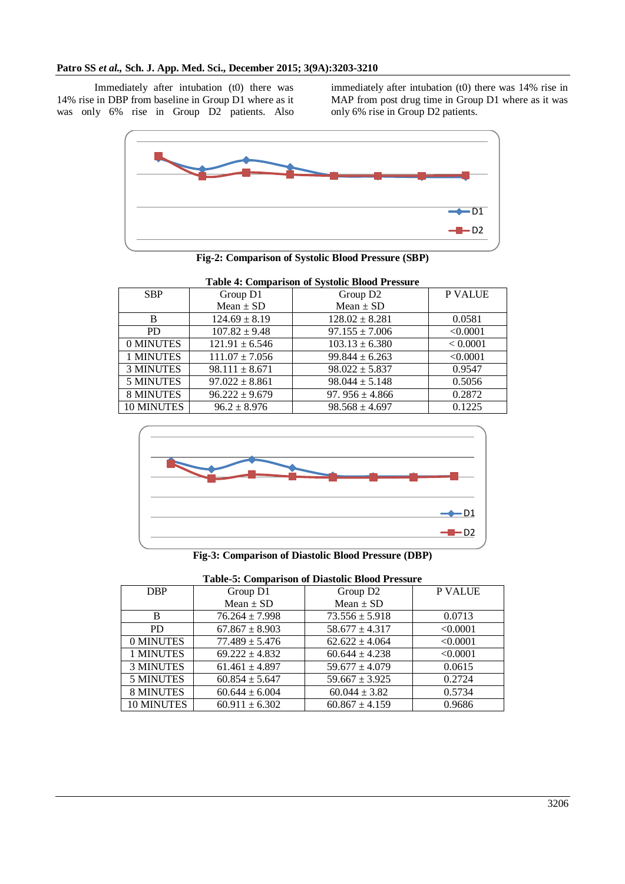Immediately after intubation (t0) there was 14% rise in DBP from baseline in Group D1 where as it was only 6% rise in Group D2 patients. Also

immediately after intubation (t0) there was 14% rise in MAP from post drug time in Group D1 where as it was only 6% rise in Group D2 patients.



**Fig-2: Comparison of Systolic Blood Pressure (SBP)**

| <b>Table 4: Comparison of Systolic Blood Pressure</b> |                    |                      |                |
|-------------------------------------------------------|--------------------|----------------------|----------------|
| <b>SBP</b>                                            | Group D1           | Group D <sub>2</sub> | <b>P VALUE</b> |
|                                                       | Mean $\pm$ SD      | Mean $\pm$ SD        |                |
| B                                                     | $124.69 \pm 8.19$  | $128.02 \pm 8.281$   | 0.0581         |
| <b>PD</b>                                             | $107.82 \pm 9.48$  | $97.155 \pm 7.006$   | < 0.0001       |
| 0 MINUTES                                             | $121.91 \pm 6.546$ | $103.13 \pm 6.380$   | < 0.0001       |
| 1 MINUTES                                             | $111.07 \pm 7.056$ | $99.844 \pm 6.263$   | < 0.0001       |
| <b>3 MINUTES</b>                                      | $98.111 \pm 8.671$ | $98.022 \pm 5.837$   | 0.9547         |
| <b>5 MINUTES</b>                                      | $97.022 \pm 8.861$ | $98.044 \pm 5.148$   | 0.5056         |
| <b>8 MINUTES</b>                                      | $96.222 \pm 9.679$ | 97. $956 \pm 4.866$  | 0.2872         |
| <b>10 MINUTES</b>                                     | $96.2 \pm 8.976$   | $98.568 \pm 4.697$   | 0.1225         |



**Fig-3: Comparison of Diastolic Blood Pressure (DBP)**

| <b>Table-5: Comparison of Diastolic Blood Pressure</b> |                    |                      |                |  |
|--------------------------------------------------------|--------------------|----------------------|----------------|--|
| <b>DBP</b>                                             | Group D1           | Group D <sub>2</sub> | <b>P VALUE</b> |  |
|                                                        | Mean $\pm$ SD      | Mean $\pm$ SD        |                |  |
| B                                                      | $76.264 \pm 7.998$ | $73.556 \pm 5.918$   | 0.0713         |  |
| P <sub>D</sub>                                         | $67.867 \pm 8.903$ | $58.677 \pm 4.317$   | < 0.0001       |  |
| 0 MINUTES                                              | $77.489 \pm 5.476$ | $62.622 \pm 4.064$   | < 0.0001       |  |
| 1 MINUTES                                              | $69.222 \pm 4.832$ | $60.644 \pm 4.238$   | < 0.0001       |  |
| <b>3 MINUTES</b>                                       | $61.461 \pm 4.897$ | $59.677 \pm 4.079$   | 0.0615         |  |
| <b>5 MINUTES</b>                                       | $60.854 \pm 5.647$ | $59.667 \pm 3.925$   | 0.2724         |  |
| <b>8 MINUTES</b>                                       | $60.644 \pm 6.004$ | $60.044 \pm 3.82$    | 0.5734         |  |
| <b>10 MINUTES</b>                                      | $60.911 \pm 6.302$ | $60.867 \pm 4.159$   | 0.9686         |  |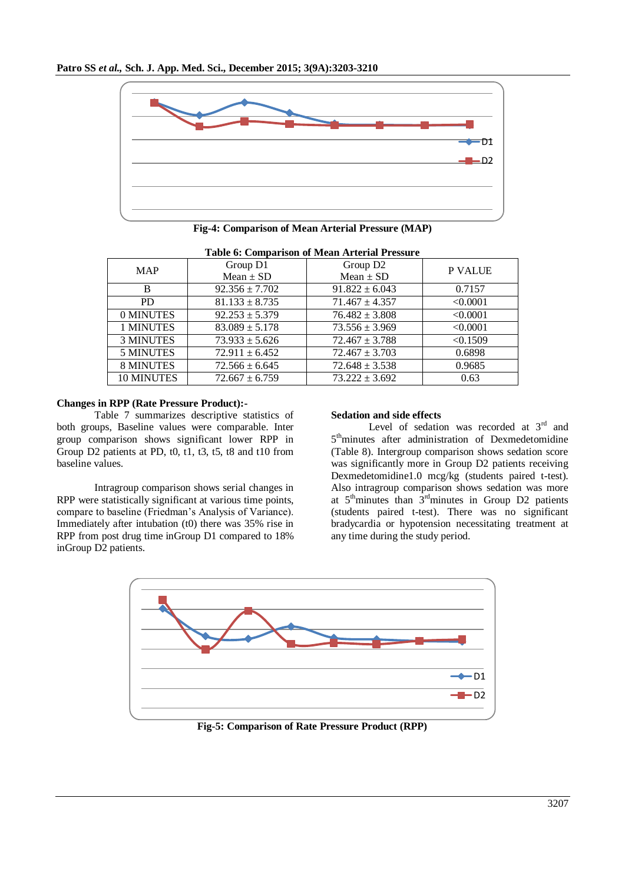

| <b>Table 6: Comparison of Mean Arterial Pressure</b> |                    |                      |                |
|------------------------------------------------------|--------------------|----------------------|----------------|
| <b>MAP</b>                                           | Group D1           | Group D <sub>2</sub> | <b>P VALUE</b> |
|                                                      | Mean $\pm$ SD      | Mean $\pm$ SD        |                |
| B                                                    | $92.356 \pm 7.702$ | $91.822 \pm 6.043$   | 0.7157         |
| <b>PD</b>                                            | $81.133 \pm 8.735$ | $71.467 \pm 4.357$   | < 0.0001       |
| 0 MINUTES                                            | $92.253 \pm 5.379$ | $76.482 \pm 3.808$   | < 0.0001       |
| 1 MINUTES                                            | $83.089 \pm 5.178$ | $73.556 \pm 3.969$   | < 0.0001       |
| <b>3 MINUTES</b>                                     | $73.933 \pm 5.626$ | $72.467 \pm 3.788$   | < 0.1509       |
| <b>5 MINUTES</b>                                     | $72.911 \pm 6.452$ | $72.467 \pm 3.703$   | 0.6898         |
| <b>8 MINUTES</b>                                     | $72.566 \pm 6.645$ | $72.648 \pm 3.538$   | 0.9685         |
| <b>10 MINUTES</b>                                    | $72.667 \pm 6.759$ | $73.222 \pm 3.692$   | 0.63           |

#### **Changes in RPP (Rate Pressure Product):-**

Table 7 summarizes descriptive statistics of both groups, Baseline values were comparable. Inter group comparison shows significant lower RPP in Group D2 patients at PD, t0, t1, t3, t5, t8 and t10 from baseline values.

Intragroup comparison shows serial changes in RPP were statistically significant at various time points, compare to baseline (Friedman's Analysis of Variance). Immediately after intubation (t0) there was 35% rise in RPP from post drug time inGroup D1 compared to 18% inGroup D2 patients.

#### **Sedation and side effects**

Level of sedation was recorded at  $3<sup>rd</sup>$  and 5<sup>th</sup>minutes after administration of Dexmedetomidine (Table 8). Intergroup comparison shows sedation score was significantly more in Group D2 patients receiving Dexmedetomidine1.0 mcg/kg (students paired t-test). Also intragroup comparison shows sedation was more at  $5<sup>th</sup>$ minutes than  $3<sup>rd</sup>$ minutes in Group D2 patients (students paired t-test). There was no significant bradycardia or hypotension necessitating treatment at any time during the study period.



**Fig-5: Comparison of Rate Pressure Product (RPP)**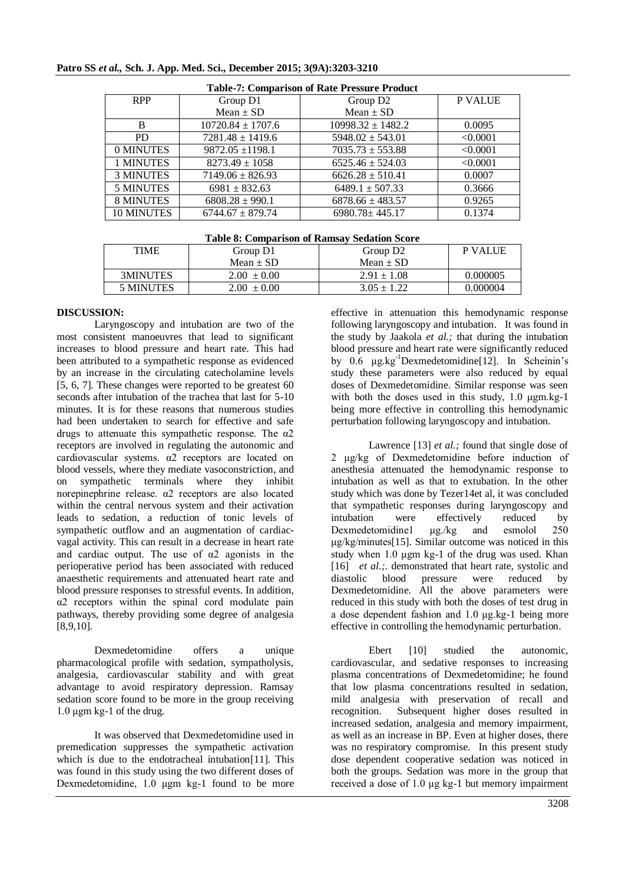| <b>Table-7: Comparison of Rate Pressure Product</b> |                       |                       |                |  |
|-----------------------------------------------------|-----------------------|-----------------------|----------------|--|
| <b>RPP</b>                                          | Group D1              | Group D <sub>2</sub>  | <b>P VALUE</b> |  |
|                                                     | Mean $\pm$ SD         | Mean $\pm$ SD         |                |  |
| B                                                   | $10720.84 \pm 1707.6$ | $10998.32 \pm 1482.2$ | 0.0095         |  |
| <b>PD</b>                                           | $7281.48 \pm 1419.6$  | $5948.02 + 543.01$    | < 0.0001       |  |
| 0 MINUTES                                           | $9872.05 \pm 1198.1$  | $7035.73 \pm 553.88$  | < 0.0001       |  |
| 1 MINUTES                                           | $8273.49 \pm 1058$    | $6525.46 \pm 524.03$  | < 0.0001       |  |
| <b>3 MINUTES</b>                                    | $7149.06 \pm 826.93$  | $6626.28 \pm 510.41$  | 0.0007         |  |
| <b>5 MINUTES</b>                                    | $6981 \pm 832.63$     | $6489.1 \pm 507.33$   | 0.3666         |  |
| <b>8 MINUTES</b>                                    | $6808.28 \pm 990.1$   | $6878.66 \pm 483.57$  | 0.9265         |  |
| 10 MINUTES                                          | $6744.67 + 879.74$    | $6980.78 \pm 445.17$  | 0.1374         |  |

### **Patro SS** *et al.,* **Sch. J. App. Med. Sci., December 2015; 3(9A):3203-3210**

| <b>Table 8: Comparison of Ramsay Sedation Score</b> |                 |                      |          |
|-----------------------------------------------------|-----------------|----------------------|----------|
| <b>TIME</b>                                         | Group D1        | Group D <sub>2</sub> | P VALUE  |
|                                                     | Mean $\pm$ SD   | Mean $\pm$ SD        |          |
| 3MINUTES                                            | $2.00 \pm 0.00$ | $2.91 \pm 1.08$      | 0.000005 |
| 5 MINUTES                                           | $2.00 \pm 0.00$ | $3.05 \pm 1.22$      | 0.000004 |

#### **DISCUSSION:**

Laryngoscopy and intubation are two of the most consistent manoeuvres that lead to significant increases to blood pressure and heart rate. This had been attributed to a sympathetic response as evidenced by an increase in the circulating catecholamine levels [5, 6, 7]. These changes were reported to be greatest 60 seconds after intubation of the trachea that last for 5-10 minutes. It is for these reasons that numerous studies had been undertaken to search for effective and safe drugs to attenuate this sympathetic response. The  $\alpha$ 2 receptors are involved in regulating the autonomic and cardiovascular systems. α2 receptors are located on blood vessels, where they mediate vasoconstriction, and on sympathetic terminals where they inhibit norepinephrine release. α2 receptors are also located within the central nervous system and their activation leads to sedation, a reduction of tonic levels of sympathetic outflow and an augmentation of cardiacvagal activity. This can result in a decrease in heart rate and cardiac output. The use of  $\alpha$ 2 agonists in the perioperative period has been associated with reduced anaesthetic requirements and attenuated heart rate and blood pressure responses to stressful events. In addition, α2 receptors within the spinal cord modulate pain pathways, thereby providing some degree of analgesia [8,9,10].

Dexmedetomidine offers a unique pharmacological profile with sedation, sympatholysis, analgesia, cardiovascular stability and with great advantage to avoid respiratory depression. Ramsay sedation score found to be more in the group receiving 1.0 μgm kg-1 of the drug.

It was observed that Dexmedetomidine used in premedication suppresses the sympathetic activation which is due to the endotracheal intubation[11]. This was found in this study using the two different doses of Dexmedetomidine, 1.0 μgm kg-1 found to be more

effective in attenuation this hemodynamic response following laryngoscopy and intubation. It was found in the study by Jaakola *et al.;* that during the intubation blood pressure and heart rate were significantly reduced by 0.6 μg.kg-1Dexmedetomidine[12]. In Scheinin's study these parameters were also reduced by equal doses of Dexmedetomidine. Similar response was seen with both the doses used in this study, 1.0 μgm.kg-1 being more effective in controlling this hemodynamic perturbation following laryngoscopy and intubation.

Lawrence [13] *et al.*; found that single dose of 2 μg/kg of Dexmedetomidine before induction of anesthesia attenuated the hemodynamic response to intubation as well as that to extubation. In the other study which was done by Tezer14et al, it was concluded that sympathetic responses during laryngoscopy and intubation were effectively reduced by Dexmedetomidine1 μg./kg and esmolol 250 μg/kg/minutes[15]. Similar outcome was noticed in this study when 1.0 μgm kg-1 of the drug was used. Khan [16] *et al.*; demonstrated that heart rate, systolic and diastolic blood pressure were reduced by Dexmedetomidine. All the above parameters were reduced in this study with both the doses of test drug in a dose dependent fashion and 1.0 μg.kg-1 being more effective in controlling the hemodynamic perturbation.

Ebert [10] studied the autonomic. cardiovascular, and sedative responses to increasing plasma concentrations of Dexmedetomidine; he found that low plasma concentrations resulted in sedation, mild analgesia with preservation of recall and recognition. Subsequent higher doses resulted in increased sedation, analgesia and memory impairment, as well as an increase in BP. Even at higher doses, there was no respiratory compromise. In this present study dose dependent cooperative sedation was noticed in both the groups. Sedation was more in the group that received a dose of 1.0 μg kg-1 but memory impairment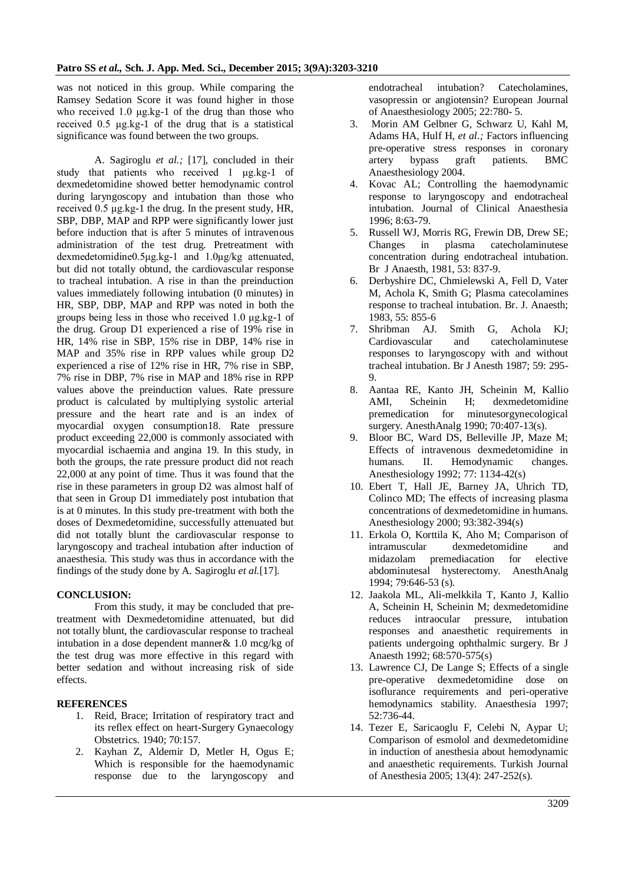was not noticed in this group. While comparing the Ramsey Sedation Score it was found higher in those who received 1.0 μg.kg-1 of the drug than those who received 0.5 μg.kg-1 of the drug that is a statistical significance was found between the two groups.

A. Sagiroglu *et al.;* [17], concluded in their study that patients who received 1 μg.kg-1 of dexmedetomidine showed better hemodynamic control during laryngoscopy and intubation than those who received 0.5 μg.kg-1 the drug. In the present study, HR, SBP, DBP, MAP and RPP were significantly lower just before induction that is after 5 minutes of intravenous administration of the test drug. Pretreatment with dexmedetomidine0.5μg.kg-1 and 1.0μg/kg attenuated, but did not totally obtund, the cardiovascular response to tracheal intubation. A rise in than the preinduction values immediately following intubation (0 minutes) in HR, SBP, DBP, MAP and RPP was noted in both the groups being less in those who received 1.0 μg.kg-1 of the drug. Group D1 experienced a rise of 19% rise in HR, 14% rise in SBP, 15% rise in DBP, 14% rise in MAP and 35% rise in RPP values while group D2 experienced a rise of 12% rise in HR, 7% rise in SBP, 7% rise in DBP, 7% rise in MAP and 18% rise in RPP values above the preinduction values. Rate pressure product is calculated by multiplying systolic arterial pressure and the heart rate and is an index of myocardial oxygen consumption18. Rate pressure product exceeding 22,000 is commonly associated with myocardial ischaemia and angina 19. In this study, in both the groups, the rate pressure product did not reach 22,000 at any point of time. Thus it was found that the rise in these parameters in group D2 was almost half of that seen in Group D1 immediately post intubation that is at 0 minutes. In this study pre-treatment with both the doses of Dexmedetomidine, successfully attenuated but did not totally blunt the cardiovascular response to laryngoscopy and tracheal intubation after induction of anaesthesia. This study was thus in accordance with the findings of the study done by A. Sagiroglu *et al.*[17].

# **CONCLUSION:**

From this study, it may be concluded that pretreatment with Dexmedetomidine attenuated, but did not totally blunt, the cardiovascular response to tracheal intubation in a dose dependent manner& 1.0 mcg/kg of the test drug was more effective in this regard with better sedation and without increasing risk of side effects.

### **REFERENCES**

- 1. Reid, Brace; Irritation of respiratory tract and its reflex effect on heart-Surgery Gynaecology Obstetrics. 1940; 70:157.
- 2. Kayhan Z, Aldemir D, Metler H, Ogus E; Which is responsible for the haemodynamic response due to the laryngoscopy and

endotracheal intubation? Catecholamines, vasopressin or angiotensin? European Journal of Anaesthesiology 2005; 22:780- 5.

- 3. Morin AM Gelbner G, Schwarz U, Kahl M, Adams HA, Hulf H, *et al.;* Factors influencing pre-operative stress responses in coronary artery bypass graft patients. BMC Anaesthesiology 2004.
- 4. Kovac AL; Controlling the haemodynamic response to laryngoscopy and endotracheal intubation. Journal of Clinical Anaesthesia 1996; 8:63-79.
- 5. Russell WJ, Morris RG, Frewin DB, Drew SE; Changes in plasma catecholaminutese concentration during endotracheal intubation. Br J Anaesth, 1981, 53: 837-9.
- 6. Derbyshire DC, Chmielewski A, Fell D, Vater M, Achola K, Smith G; Plasma catecolamines response to tracheal intubation. Br. J. Anaesth; 1983, 55: 855-6
- 7. Shribman AJ. Smith G, Achola KJ; Cardiovascular and catecholaminutese responses to laryngoscopy with and without tracheal intubation. Br J Anesth 1987; 59: 295- 9.
- 8. Aantaa RE, Kanto JH, Scheinin M, Kallio AMI, Scheinin H; dexmedetomidine premedication for minutesorgynecological surgery. AnesthAnalg 1990; 70:407-13(s).
- 9. Bloor BC, Ward DS, Belleville JP, Maze M; Effects of intravenous dexmedetomidine in humans. II. Hemodynamic changes. Anesthesiology 1992; 77: 1134-42(s)
- 10. Ebert T, Hall JE, Barney JA, Uhrich TD, Colinco MD; The effects of increasing plasma concentrations of dexmedetomidine in humans. Anesthesiology 2000; 93:382-394(s)
- 11. Erkola O, Korttila K, Aho M; Comparison of intramuscular dexmedetomidine and midazolam premediacation for elective abdominutesal hysterectomy. AnesthAnalg 1994; 79:646-53 (s).
- 12. Jaakola ML, Ali-melkkila T, Kanto J, Kallio A, Scheinin H, Scheinin M; dexmedetomidine reduces intraocular pressure, intubation responses and anaesthetic requirements in patients undergoing ophthalmic surgery. Br J Anaesth 1992; 68:570-575(s)
- 13. Lawrence CJ, De Lange S; Effects of a single pre-operative dexmedetomidine dose on isoflurance requirements and peri-operative hemodynamics stability. Anaesthesia 1997; 52:736-44.
- 14. Tezer E, Saricaoglu F, Celebi N, Aypar U; Comparison of esmolol and dexmedetomidine in induction of anesthesia about hemodynamic and anaesthetic requirements. Turkish Journal of Anesthesia 2005; 13(4): 247-252(s).